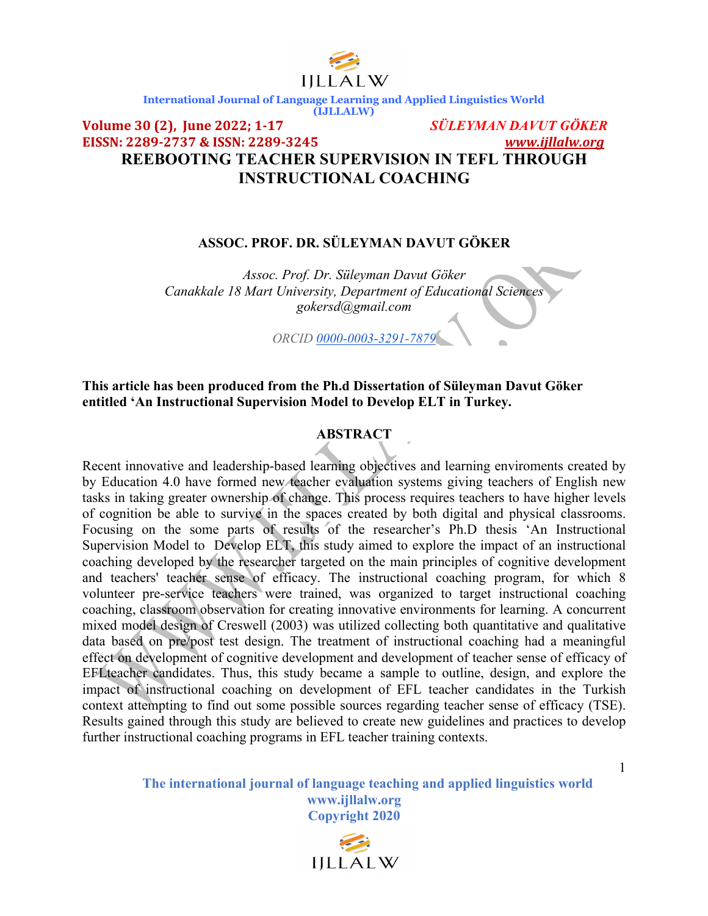

### **Volume 30 (2), June 2022; 1-17** *SÜLEYMAN DAVUT GÖKER* **EISSN:** 2289-2737 & ISSN: 2289-3245 **REEBOOTING TEACHER SUPERVISION IN TEFL THROUGH INSTRUCTIONAL COACHING**

### **ASSOC. PROF. DR. SÜLEYMAN DAVUT GÖKER**

*Assoc. Prof. Dr. Süleyman Davut Göker Canakkale 18 Mart University, Department of Educational Sciences gokersd@gmail.com*

*ORCID 0000-0003-3291-7879*

### **This article has been produced from the Ph.d Dissertation of Süleyman Davut Göker entitled 'An Instructional Supervision Model to Develop ELT in Turkey.**

#### **ABSTRACT**

Recent innovative and leadership-based learning objectives and learning enviroments created by by Education 4.0 have formed new teacher evaluation systems giving teachers of English new tasks in taking greater ownership of change. This process requires teachers to have higher levels of cognition be able to survive in the spaces created by both digital and physical classrooms. Focusing on the some parts of results of the researcher's Ph.D thesis 'An Instructional Supervision Model to Develop ELT, this study aimed to explore the impact of an instructional coaching developed by the researcher targeted on the main principles of cognitive development and teachers' teacher sense of efficacy. The instructional coaching program, for which 8 volunteer pre-service teachers were trained, was organized to target instructional coaching coaching, classroom observation for creating innovative environments for learning. A concurrent mixed model design of Creswell (2003) was utilized collecting both quantitative and qualitative data based on pre/post test design. The treatment of instructional coaching had a meaningful effect on development of cognitive development and development of teacher sense of efficacy of EFLteacher candidates. Thus, this study became a sample to outline, design, and explore the impact of instructional coaching on development of EFL teacher candidates in the Turkish context attempting to find out some possible sources regarding teacher sense of efficacy (TSE). Results gained through this study are believed to create new guidelines and practices to develop further instructional coaching programs in EFL teacher training contexts.

> **The international journal of language teaching and applied linguistics world www.ijllalw.org Copyright 2020**

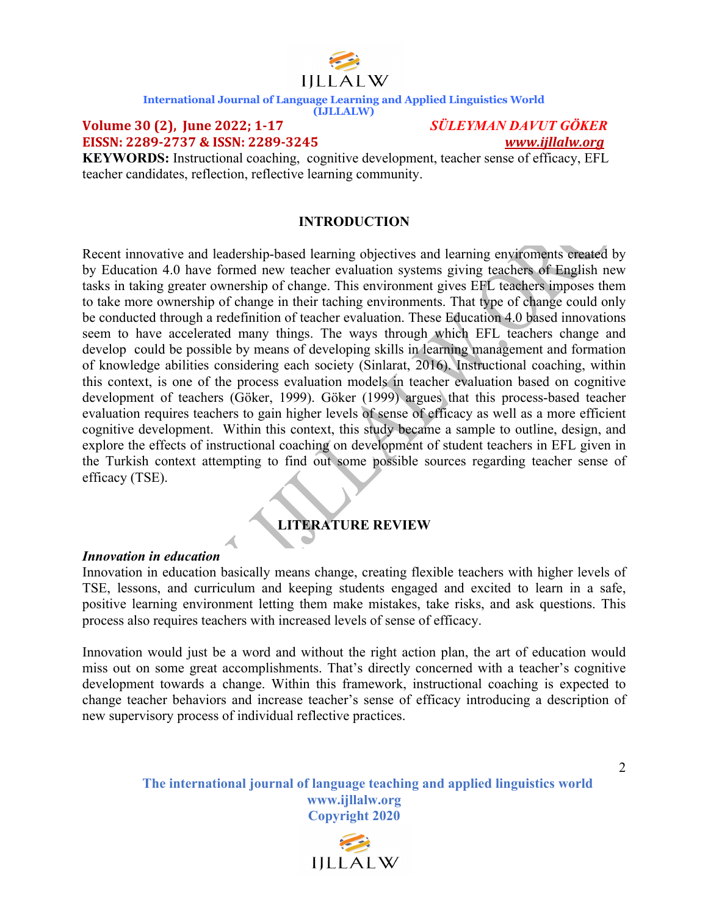

**(IJLLALW)**

#### **Volume 30 (2), June 2022; 1-17** *SÜLEYMAN DAVUT GÖKER* **EISSN: 2289-2737 & ISSN: 2289-3245**  *www.ijllalw.org*

**KEYWORDS:** Instructional coaching, cognitive development, teacher sense of efficacy, EFL teacher candidates, reflection, reflective learning community.

### **INTRODUCTION**

Recent innovative and leadership-based learning objectives and learning enviroments created by by Education 4.0 have formed new teacher evaluation systems giving teachers of English new tasks in taking greater ownership of change. This environment gives EFL teachers imposes them to take more ownership of change in their taching environments. That type of change could only be conducted through a redefinition of teacher evaluation. These Education 4.0 based innovations seem to have accelerated many things. The ways through which EFL teachers change and develop could be possible by means of developing skills in learning management and formation of knowledge abilities considering each society (Sinlarat, 2016). Instructional coaching, within this context, is one of the process evaluation models in teacher evaluation based on cognitive development of teachers (Göker, 1999). Göker (1999) argues that this process-based teacher evaluation requires teachers to gain higher levels of sense of efficacy as well as a more efficient cognitive development. Within this context, this study became a sample to outline, design, and explore the effects of instructional coaching on development of student teachers in EFL given in the Turkish context attempting to find out some possible sources regarding teacher sense of efficacy (TSE).

### **LITERATURE REVIEW**

#### *Innovation in education*

Innovation in education basically means change, creating flexible teachers with higher levels of TSE, lessons, and curriculum and keeping students engaged and excited to learn in a safe, positive learning environment letting them make mistakes, take risks, and ask questions. This process also requires teachers with increased levels of sense of efficacy.

Innovation would just be a word and without the right action plan, the art of education would miss out on some great accomplishments. That's directly concerned with a teacher's cognitive development towards a change. Within this framework, instructional coaching is expected to change teacher behaviors and increase teacher's sense of efficacy introducing a description of new supervisory process of individual reflective practices.

> **The international journal of language teaching and applied linguistics world www.ijllalw.org Copyright 2020**

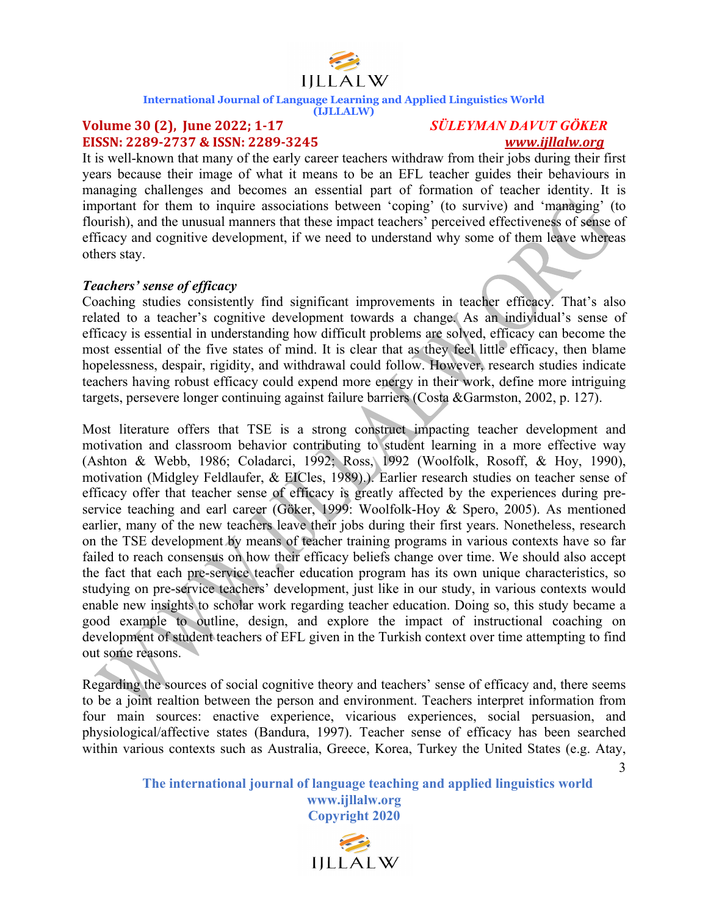

#### **(IJLLALW)**

#### **Volume 30 (2), June 2022; 1-17** *SÜLEYMAN DAVUT GÖKER* **EISSN: 2289-2737 & ISSN: 2289-3245**  *www.ijllalw.org*

3

It is well-known that many of the early career teachers withdraw from their jobs during their first years because their image of what it means to be an EFL teacher guides their behaviours in managing challenges and becomes an essential part of formation of teacher identity. It is important for them to inquire associations between 'coping' (to survive) and 'managing' (to flourish), and the unusual manners that these impact teachers' perceived effectiveness of sense of efficacy and cognitive development, if we need to understand why some of them leave whereas others stay.

#### *Teachers' sense of efficacy*

Coaching studies consistently find significant improvements in teacher efficacy. That's also related to a teacher's cognitive development towards a change. As an individual's sense of efficacy is essential in understanding how difficult problems are solved, efficacy can become the most essential of the five states of mind. It is clear that as they feel little efficacy, then blame hopelessness, despair, rigidity, and withdrawal could follow. However, research studies indicate teachers having robust efficacy could expend more energy in their work, define more intriguing targets, persevere longer continuing against failure barriers (Costa &Garmston, 2002, p. 127).

Most literature offers that TSE is a strong construct impacting teacher development and motivation and classroom behavior contributing to student learning in a more effective way (Ashton & Webb, 1986; Coladarci, 1992; Ross, 1992 (Woolfolk, Rosoff, & Hoy, 1990), motivation (Midgley Feldlaufer, & EICles, 1989).). Earlier research studies on teacher sense of efficacy offer that teacher sense of efficacy is greatly affected by the experiences during preservice teaching and earl career (Göker, 1999: Woolfolk-Hoy & Spero, 2005). As mentioned earlier, many of the new teachers leave their jobs during their first years. Nonetheless, research on the TSE development by means of teacher training programs in various contexts have so far failed to reach consensus on how their efficacy beliefs change over time. We should also accept the fact that each pre-service teacher education program has its own unique characteristics, so studying on pre-service teachers' development, just like in our study, in various contexts would enable new insights to scholar work regarding teacher education. Doing so, this study became a good example to outline, design, and explore the impact of instructional coaching on development of student teachers of EFL given in the Turkish context over time attempting to find out some reasons.

Regarding the sources of social cognitive theory and teachers' sense of efficacy and, there seems to be a joint realtion between the person and environment. Teachers interpret information from four main sources: enactive experience, vicarious experiences, social persuasion, and physiological/affective states (Bandura, 1997). Teacher sense of efficacy has been searched within various contexts such as Australia, Greece, Korea, Turkey the United States (e.g. Atay,

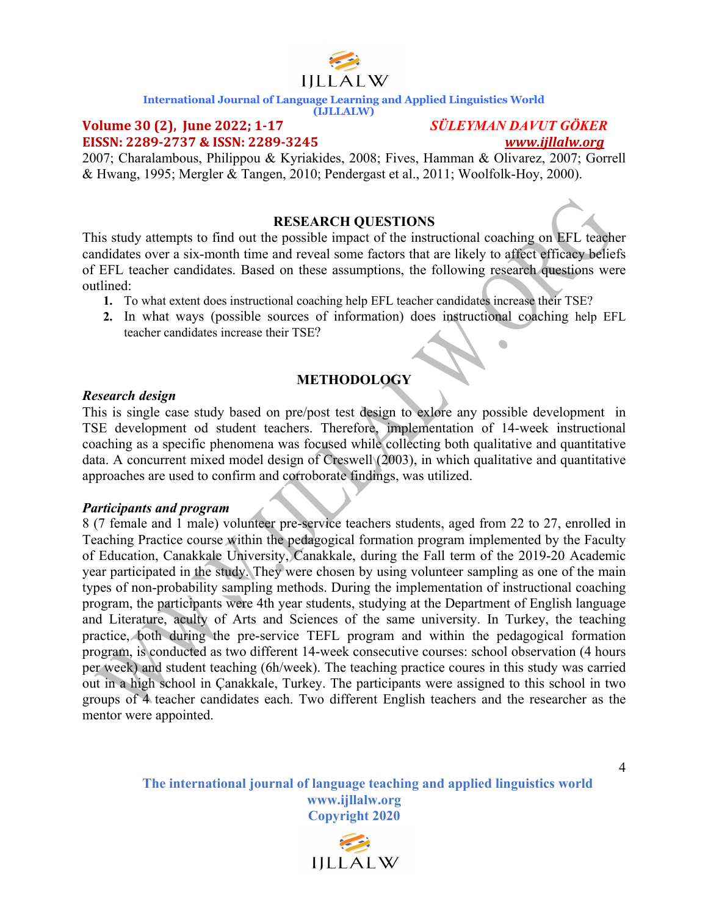

#### **(IJLLALW)**

#### **Volume 30 (2), June 2022; 1-17** *SÜLEYMAN DAVUT GÖKER* **EISSN: 2289-2737 & ISSN: 2289-3245**  *www.ijllalw.org*

2007; Charalambous, Philippou & Kyriakides, 2008; Fives, Hamman & Olivarez, 2007; Gorrell & Hwang, 1995; Mergler & Tangen, 2010; Pendergast et al., 2011; Woolfolk-Hoy, 2000).

#### **RESEARCH QUESTIONS**

This study attempts to find out the possible impact of the instructional coaching on EFL teacher candidates over a six-month time and reveal some factors that are likely to affect efficacy beliefs of EFL teacher candidates. Based on these assumptions, the following research questions were outlined:

- **1.** To what extent does instructional coaching help EFL teacher candidates increase their TSE?
- **2.** In what ways (possible sources of information) does instructional coaching help EFL teacher candidates increase their TSE?  $\blacksquare$

### **METHODOLOGY**

#### *Research design*

This is single case study based on pre/post test design to exlore any possible development in TSE development od student teachers. Therefore, implementation of 14-week instructional coaching as a specific phenomena was focused while collecting both qualitative and quantitative data. A concurrent mixed model design of Creswell (2003), in which qualitative and quantitative approaches are used to confirm and corroborate findings, was utilized.

#### *Participants and program*

8 (7 female and 1 male) volunteer pre-service teachers students, aged from 22 to 27, enrolled in Teaching Practice course within the pedagogical formation program implemented by the Faculty of Education, Canakkale University, Canakkale, during the Fall term of the 2019-20 Academic year participated in the study. They were chosen by using volunteer sampling as one of the main types of non-probability sampling methods. During the implementation of instructional coaching program, the participants were 4th year students, studying at the Department of English language and Literature, aculty of Arts and Sciences of the same university. In Turkey, the teaching practice, both during the pre-service TEFL program and within the pedagogical formation program, is conducted as two different 14-week consecutive courses: school observation (4 hours per week) and student teaching (6h/week). The teaching practice coures in this study was carried out in a high school in Çanakkale, Turkey. The participants were assigned to this school in two groups of 4 teacher candidates each. Two different English teachers and the researcher as the mentor were appointed.

> **The international journal of language teaching and applied linguistics world www.ijllalw.org Copyright 2020**

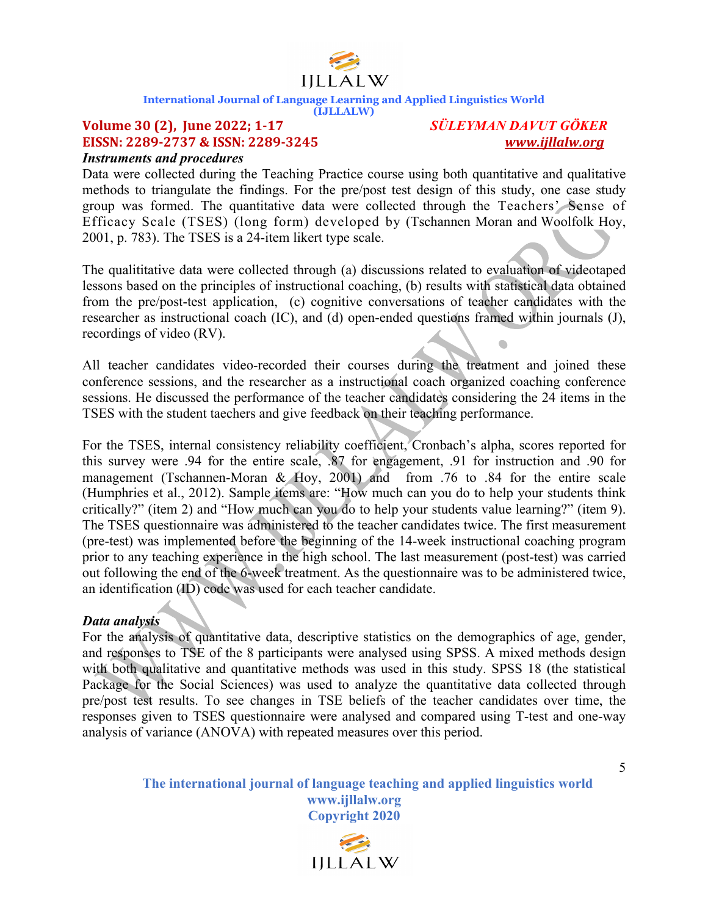

#### **(IJLLALW)**

### **Volume 30 (2), June 2022; 1-17** *SÜLEYMAN DAVUT GÖKER* **EISSN:** 2289-2737 & ISSN: 2289-3245

*Instruments and procedures* 

Data were collected during the Teaching Practice course using both quantitative and qualitative methods to triangulate the findings. For the pre/post test design of this study, one case study group was formed. The quantitative data were collected through the Teachers' Sense of Efficacy Scale (TSES) (long form) developed by (Tschannen Moran and Woolfolk Hoy, 2001, p. 783). The TSES is a 24-item likert type scale.

The qualititative data were collected through (a) discussions related to evaluation of videotaped lessons based on the principles of instructional coaching, (b) results with statistical data obtained from the pre/post-test application, (c) cognitive conversations of teacher candidates with the researcher as instructional coach (IC), and (d) open-ended questions framed within journals (J), recordings of video (RV).  $\overline{\phantom{0}}$ 

All teacher candidates video-recorded their courses during the treatment and joined these conference sessions, and the researcher as a instructional coach organized coaching conference sessions. He discussed the performance of the teacher candidates considering the 24 items in the TSES with the student taechers and give feedback on their teaching performance.

For the TSES, internal consistency reliability coefficient, Cronbach's alpha, scores reported for this survey were .94 for the entire scale, .87 for engagement, .91 for instruction and .90 for management (Tschannen-Moran & Hoy, 2001) and from .76 to .84 for the entire scale (Humphries et al., 2012). Sample items are: "How much can you do to help your students think critically?" (item 2) and "How much can you do to help your students value learning?" (item 9). The TSES questionnaire was administered to the teacher candidates twice. The first measurement (pre-test) was implemented before the beginning of the 14-week instructional coaching program prior to any teaching experience in the high school. The last measurement (post-test) was carried out following the end of the 6-week treatment. As the questionnaire was to be administered twice, an identification (ID) code was used for each teacher candidate.

### *Data analysis*

For the analysis of quantitative data, descriptive statistics on the demographics of age, gender, and responses to TSE of the 8 participants were analysed using SPSS. A mixed methods design with both qualitative and quantitative methods was used in this study. SPSS 18 (the statistical Package for the Social Sciences) was used to analyze the quantitative data collected through pre/post test results. To see changes in TSE beliefs of the teacher candidates over time, the responses given to TSES questionnaire were analysed and compared using T-test and one-way analysis of variance (ANOVA) with repeated measures over this period.

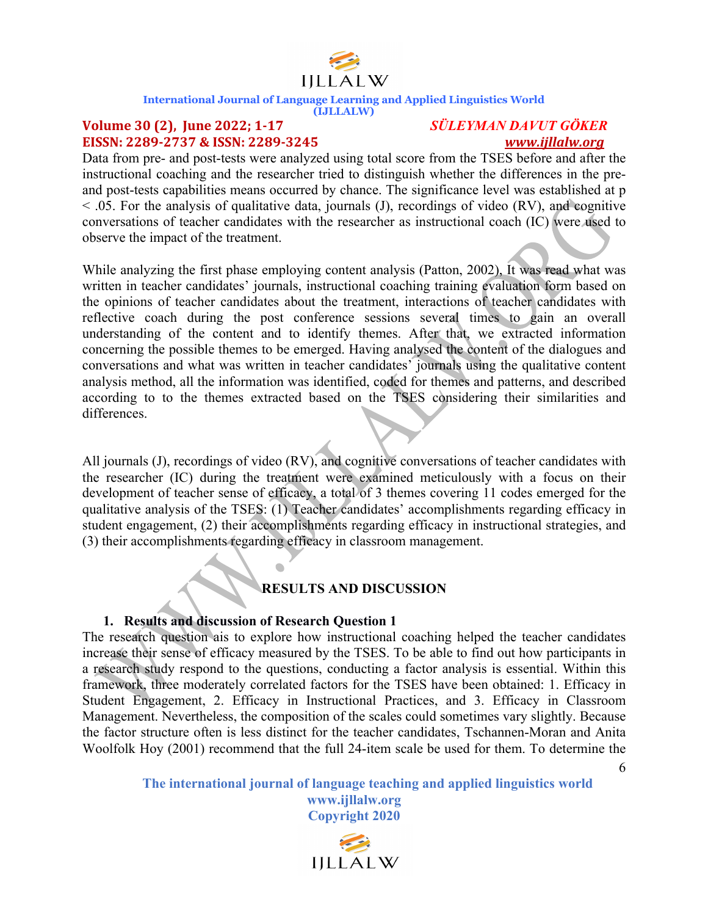

#### **(IJLLALW)**

### **Volume 30 (2), June 2022; 1-17** *SÜLEYMAN DAVUT GÖKER* **EISSN: 2289-2737 & ISSN: 2289-3245**  *www.ijllalw.org*

Data from pre- and post-tests were analyzed using total score from the TSES before and after the instructional coaching and the researcher tried to distinguish whether the differences in the preand post-tests capabilities means occurred by chance. The significance level was established at p  $<$  0.05. For the analysis of qualitative data, journals (J), recordings of video (RV), and cognitive conversations of teacher candidates with the researcher as instructional coach (IC) were used to observe the impact of the treatment.

While analyzing the first phase employing content analysis (Patton, 2002), It was read what was written in teacher candidates' journals, instructional coaching training evaluation form based on the opinions of teacher candidates about the treatment, interactions of teacher candidates with reflective coach during the post conference sessions several times to gain an overall understanding of the content and to identify themes. After that, we extracted information concerning the possible themes to be emerged. Having analysed the content of the dialogues and conversations and what was written in teacher candidates' journals using the qualitative content analysis method, all the information was identified, coded for themes and patterns, and described according to to the themes extracted based on the TSES considering their similarities and differences.

All journals (J), recordings of video (RV), and cognitive conversations of teacher candidates with the researcher (IC) during the treatment were examined meticulously with a focus on their development of teacher sense of efficacy, a total of 3 themes covering 11 codes emerged for the qualitative analysis of the TSES: (1) Teacher candidates' accomplishments regarding efficacy in student engagement, (2) their accomplishments regarding efficacy in instructional strategies, and (3) their accomplishments regarding efficacy in classroom management.

### **RESULTS AND DISCUSSION**

### **1. Results and discussion of Research Question 1**

The research question ais to explore how instructional coaching helped the teacher candidates increase their sense of efficacy measured by the TSES. To be able to find out how participants in a research study respond to the questions, conducting a factor analysis is essential. Within this framework, three moderately correlated factors for the TSES have been obtained: 1. Efficacy in Student Engagement, 2. Efficacy in Instructional Practices, and 3. Efficacy in Classroom Management. Nevertheless, the composition of the scales could sometimes vary slightly. Because the factor structure often is less distinct for the teacher candidates, Tschannen-Moran and Anita Woolfolk Hoy (2001) recommend that the full 24-item scale be used for them. To determine the

> **The international journal of language teaching and applied linguistics world www.ijllalw.org Copyright 2020**

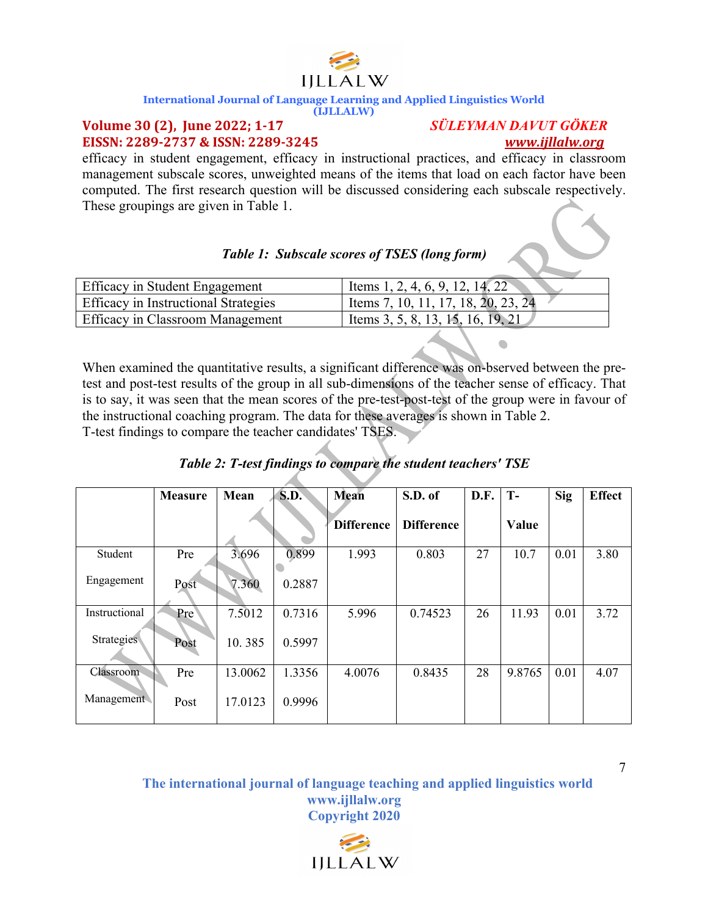# IILLALW

#### **International Journal of Language Learning and Applied Linguistics World**

#### **(IJLLALW)**

#### **Volume 30 (2), June 2022; 1-17** *SÜLEYMAN DAVUT GÖKER* **EISSN: 2289-2737 & ISSN: 2289-3245**  *www.ijllalw.org*

efficacy in student engagement, efficacy in instructional practices, and efficacy in classroom management subscale scores, unweighted means of the items that load on each factor have been computed. The first research question will be discussed considering each subscale respectively. These groupings are given in Table 1.

### *Table 1: Subscale scores of TSES (long form)*

| Efficacy in Student Engagement              | l Items 1, 2, 4, 6, 9, 12, 14, 22   |
|---------------------------------------------|-------------------------------------|
| <b>Efficacy in Instructional Strategies</b> | Items 7, 10, 11, 17, 18, 20, 23, 24 |
| <b>Efficacy in Classroom Management</b>     | l Items 3, 5, 8, 13, 15, 16, 19, 21 |

When examined the quantitative results, a significant difference was on-bserved between the pretest and post-test results of the group in all sub-dimensions of the teacher sense of efficacy. That is to say, it was seen that the mean scores of the pre-test-post-test of the group were in favour of the instructional coaching program. The data for these averages is shown in Table 2. T-test findings to compare the teacher candidates' TSES.

|  |  | Table 2: T-test findings to compare the student teachers' TSE |  |
|--|--|---------------------------------------------------------------|--|
|  |  |                                                               |  |

|               | <b>Measure</b> | Mean    | S.D.   | <b>Mean</b>       | S.D. of           | D.F. | $T -$  | Sig  | <b>Effect</b> |
|---------------|----------------|---------|--------|-------------------|-------------------|------|--------|------|---------------|
|               |                |         |        | <b>Difference</b> | <b>Difference</b> |      | Value  |      |               |
| Student       | Pre            | 3.696   | 0.899  | 1.993             | 0.803             | 27   | 10.7   | 0.01 | 3.80          |
| Engagement    | Post           | 7.360   | 0.2887 |                   |                   |      |        |      |               |
| Instructional | Pre            | 7.5012  | 0.7316 | 5.996             | 0.74523           | 26   | 11.93  | 0.01 | 3.72          |
| Strategies    | Post           | 10.385  | 0.5997 |                   |                   |      |        |      |               |
| Classroom     | Pre            | 13.0062 | 1.3356 | 4.0076            | 0.8435            | 28   | 9.8765 | 0.01 | 4.07          |
| Management    | Post           | 17.0123 | 0.9996 |                   |                   |      |        |      |               |

**The international journal of language teaching and applied linguistics world www.ijllalw.org Copyright 2020**

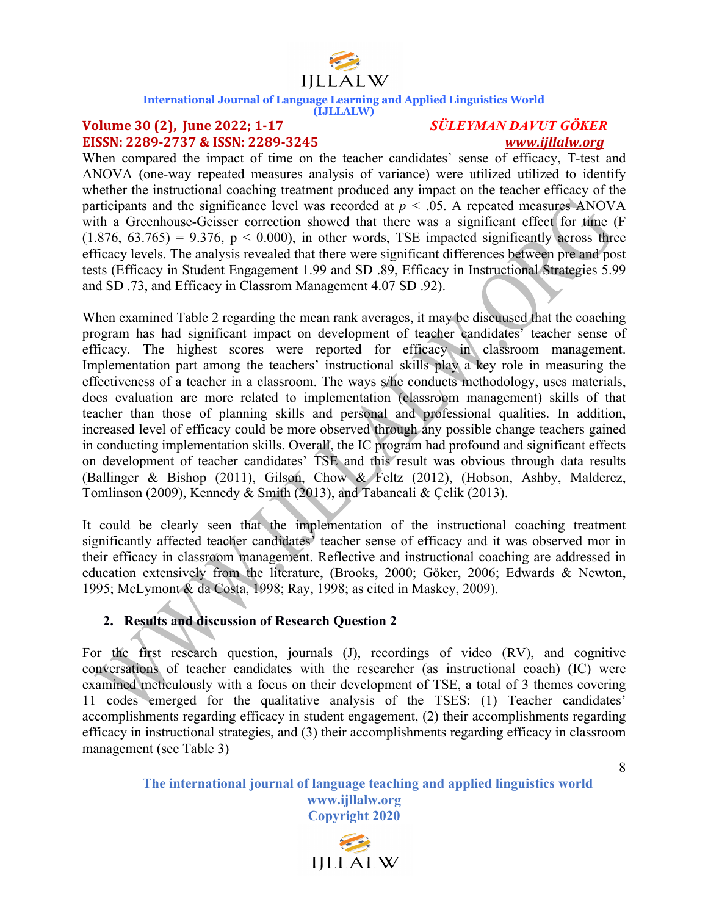

**(IJLLALW)**

### **Volume 30 (2), June 2022; 1-17** *SÜLEYMAN DAVUT GÖKER* **EISSN: 2289-2737 & ISSN: 2289-3245**  *www.ijllalw.org*

When compared the impact of time on the teacher candidates' sense of efficacy, T-test and ANOVA (one-way repeated measures analysis of variance) were utilized utilized to identify whether the instructional coaching treatment produced any impact on the teacher efficacy of the participants and the significance level was recorded at  $p < .05$ . A repeated measures ANOVA with a Greenhouse-Geisser correction showed that there was a significant effect for time (F  $(1.876, 63.765) = 9.376, p < 0.000$ , in other words, TSE impacted significantly across three efficacy levels. The analysis revealed that there were significant differences between pre and post tests (Efficacy in Student Engagement 1.99 and SD .89, Efficacy in Instructional Strategies 5.99 and SD .73, and Efficacy in Classrom Management 4.07 SD .92).

When examined Table 2 regarding the mean rank averages, it may be discuused that the coaching program has had significant impact on development of teacher candidates' teacher sense of efficacy. The highest scores were reported for efficacy in classroom management. Implementation part among the teachers' instructional skills play a key role in measuring the effectiveness of a teacher in a classroom. The ways s/he conducts methodology, uses materials, does evaluation are more related to implementation (classroom management) skills of that teacher than those of planning skills and personal and professional qualities. In addition, increased level of efficacy could be more observed through any possible change teachers gained in conducting implementation skills. Overall, the IC program had profound and significant effects on development of teacher candidates' TSE and this result was obvious through data results (Ballinger & Bishop (2011), Gilson, Chow & Feltz (2012), (Hobson, Ashby, Malderez, Tomlinson (2009), Kennedy & Smith (2013), and Tabancali & Çelik (2013).

It could be clearly seen that the implementation of the instructional coaching treatment significantly affected teacher candidates' teacher sense of efficacy and it was observed mor in their efficacy in classroom management. Reflective and instructional coaching are addressed in education extensively from the literature, (Brooks, 2000; Göker, 2006; Edwards & Newton, 1995; McLymont & da Costa, 1998; Ray, 1998; as cited in Maskey, 2009).

### **2. Results and discussion of Research Question 2**

For the first research question, journals (J), recordings of video (RV), and cognitive conversations of teacher candidates with the researcher (as instructional coach) (IC) were examined meticulously with a focus on their development of TSE, a total of 3 themes covering 11 codes emerged for the qualitative analysis of the TSES: (1) Teacher candidates' accomplishments regarding efficacy in student engagement, (2) their accomplishments regarding efficacy in instructional strategies, and (3) their accomplishments regarding efficacy in classroom management (see Table 3)

> **The international journal of language teaching and applied linguistics world www.ijllalw.org Copyright 2020**

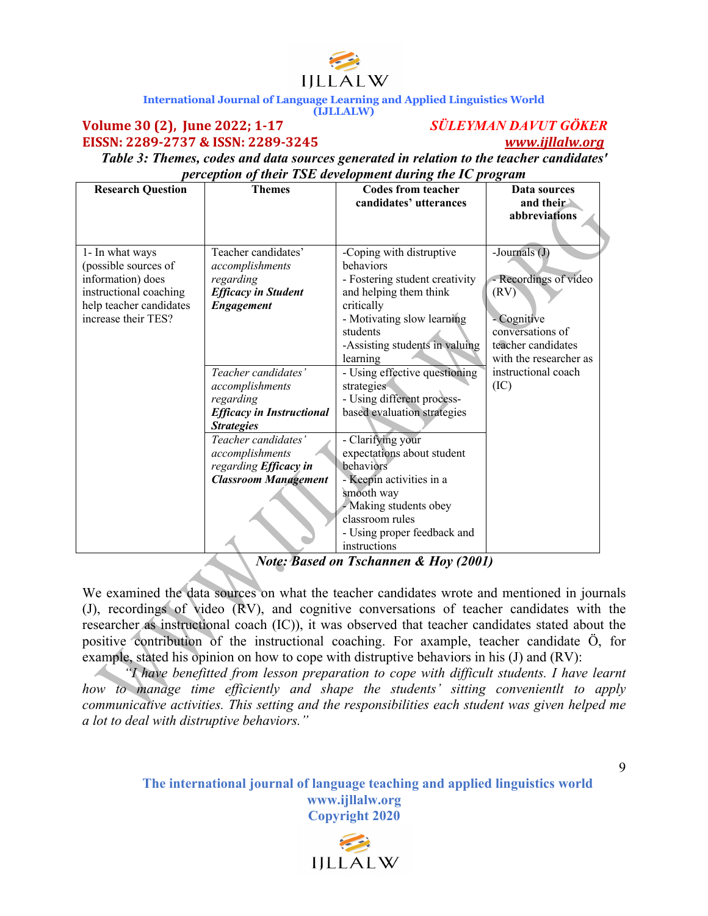

#### **Volume 30 (2), June 2022; 1-17** *SÜLEYMAN DAVUT GÖKER* **EISSN: 2289-2737 & ISSN: 2289-3245**  *www.ijllalw.org*

*Table 3: Themes, codes and data sources generated in relation to the teacher candidates' perception of their TSE development during the IC program*

| <b>Research Question</b>                                                                                                                 | <b>Themes</b>                                                                                          | <b>Codes from teacher</b>                                                                                                                                                                   | Data sources                                                                                          |
|------------------------------------------------------------------------------------------------------------------------------------------|--------------------------------------------------------------------------------------------------------|---------------------------------------------------------------------------------------------------------------------------------------------------------------------------------------------|-------------------------------------------------------------------------------------------------------|
|                                                                                                                                          |                                                                                                        | candidates' utterances                                                                                                                                                                      | and their                                                                                             |
|                                                                                                                                          |                                                                                                        |                                                                                                                                                                                             | abbreviations                                                                                         |
|                                                                                                                                          |                                                                                                        |                                                                                                                                                                                             |                                                                                                       |
| 1- In what ways<br>(possible sources of<br>information) does<br>instructional coaching<br>help teacher candidates<br>increase their TES? | Teacher candidates'<br>accomplishments<br>regarding<br><b>Efficacy in Student</b><br><b>Engagement</b> | -Coping with distruptive<br>hehaviors<br>- Fostering student creativity<br>and helping them think<br>critically<br>- Motivating slow learning<br>students<br>-Assisting students in valuing | -Journals (J)<br>- Recordings of video<br>(RV)<br>Cognitive<br>conversations of<br>teacher candidates |
|                                                                                                                                          |                                                                                                        | learning                                                                                                                                                                                    | with the researcher as                                                                                |
|                                                                                                                                          | Teacher candidates'                                                                                    | - Using effective questioning                                                                                                                                                               | instructional coach                                                                                   |
|                                                                                                                                          | accomplishments                                                                                        | strategies                                                                                                                                                                                  | (IC)                                                                                                  |
|                                                                                                                                          | regarding                                                                                              | - Using different process-                                                                                                                                                                  |                                                                                                       |
|                                                                                                                                          | <b>Efficacy in Instructional</b>                                                                       | based evaluation strategies                                                                                                                                                                 |                                                                                                       |
|                                                                                                                                          | <b>Strategies</b>                                                                                      |                                                                                                                                                                                             |                                                                                                       |
|                                                                                                                                          | Teacher candidates'                                                                                    | - Clarifying your                                                                                                                                                                           |                                                                                                       |
|                                                                                                                                          | accomplishments                                                                                        | expectations about student                                                                                                                                                                  |                                                                                                       |
|                                                                                                                                          | regarding Efficacy in                                                                                  | behaviors                                                                                                                                                                                   |                                                                                                       |
|                                                                                                                                          | <b>Classroom Management</b>                                                                            | - Keepin activities in a                                                                                                                                                                    |                                                                                                       |
|                                                                                                                                          |                                                                                                        | smooth way                                                                                                                                                                                  |                                                                                                       |
|                                                                                                                                          |                                                                                                        | - Making students obey                                                                                                                                                                      |                                                                                                       |
|                                                                                                                                          |                                                                                                        | classroom rules                                                                                                                                                                             |                                                                                                       |
|                                                                                                                                          |                                                                                                        | - Using proper feedback and                                                                                                                                                                 |                                                                                                       |
|                                                                                                                                          |                                                                                                        | instructions                                                                                                                                                                                |                                                                                                       |

*Note: Based on Tschannen & Hoy (2001)*

We examined the data sources on what the teacher candidates wrote and mentioned in journals (J), recordings of video (RV), and cognitive conversations of teacher candidates with the researcher as instructional coach (IC)), it was observed that teacher candidates stated about the positive contribution of the instructional coaching. For axample, teacher candidate Ö, for example, stated his opinion on how to cope with distruptive behaviors in his (J) and (RV):

*"I have benefitted from lesson preparation to cope with difficult students. I have learnt how to manage time efficiently and shape the students' sitting convenientlt to apply communicative activities. This setting and the responsibilities each student was given helped me a lot to deal with distruptive behaviors."*

> **The international journal of language teaching and applied linguistics world www.ijllalw.org Copyright 2020**

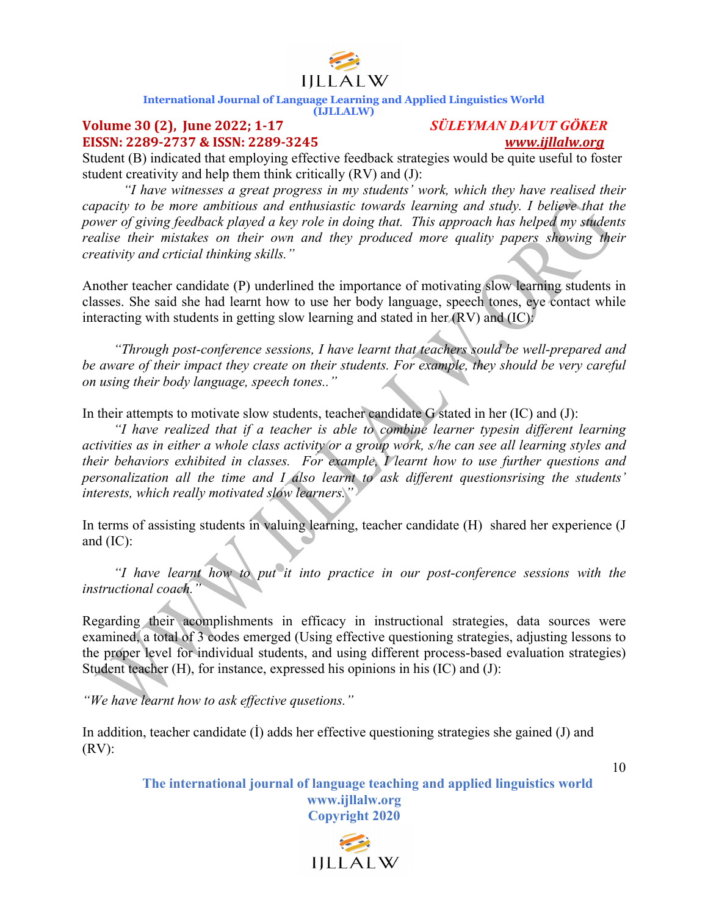

### **(IJLLALW)**

#### **Volume 30 (2), June 2022; 1-17** *SÜLEYMAN DAVUT GÖKER* **EISSN: 2289-2737 & ISSN: 2289-3245**  *www.ijllalw.org*

Student (B) indicated that employing effective feedback strategies would be quite useful to foster student creativity and help them think critically (RV) and (J):

*"I have witnesses a great progress in my students' work, which they have realised their capacity to be more ambitious and enthusiastic towards learning and study. I believe that the power of giving feedback played a key role in doing that. This approach has helped my students realise their mistakes on their own and they produced more quality papers showing their creativity and crticial thinking skills."*

Another teacher candidate (P) underlined the importance of motivating slow learning students in classes. She said she had learnt how to use her body language, speech tones, eye contact while interacting with students in getting slow learning and stated in her (RV) and (IC):

 *"Through post-conference sessions, I have learnt that teachers sould be well-prepared and be aware of their impact they create on their students. For example, they should be very careful on using their body language, speech tones.."*

In their attempts to motivate slow students, teacher candidate G stated in her (IC) and (J):

 *"I have realized that if a teacher is able to combine learner typesin different learning activities as in either a whole class activity or a group work, s/he can see all learning styles and their behaviors exhibited in classes. For example, I learnt how to use further questions and personalization all the time and I also learnt to ask different questionsrising the students' interests, which really motivated slow learners."*

In terms of assisting students in valuing learning, teacher candidate (H) shared her experience (J and (IC):

 *"I have learnt how to put it into practice in our post-conference sessions with the instructional coach."*

Regarding their acomplishments in efficacy in instructional strategies, data sources were examined, a total of 3 codes emerged (Using effective questioning strategies, adjusting lessons to the proper level for individual students, and using different process-based evaluation strategies) Student teacher (H), for instance, expressed his opinions in his (IC) and (J):

*"We have learnt how to ask effective qusetions."*

In addition, teacher candidate (İ) adds her effective questioning strategies she gained (J) and  $(RV)$ :

> **The international journal of language teaching and applied linguistics world www.ijllalw.org Copyright 2020**

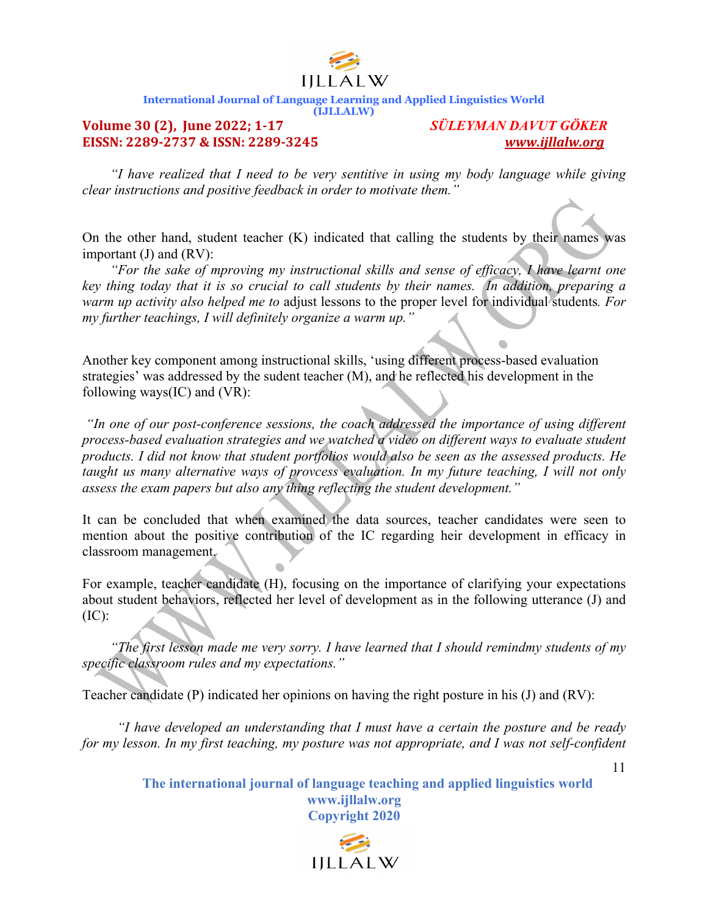

#### **(IJLLALW)**

#### **Volume 30 (2), June 2022; 1-17** *SÜLEYMAN DAVUT GÖKER* **EISSN:** 2289-2737 & ISSN: 2289-3245

 *"I have realized that I need to be very sentitive in using my body language while giving clear instructions and positive feedback in order to motivate them."*

On the other hand, student teacher (K) indicated that calling the students by their names was important (J) and (RV):

 *"For the sake of mproving my instructional skills and sense of efficacy, I have learnt one key thing today that it is so crucial to call students by their names. In addition, preparing a warm up activity also helped me to* adjust lessons to the proper level for individual students*. For my further teachings, I will definitely organize a warm up."*

Another key component among instructional skills, 'using different process-based evaluation strategies' was addressed by the sudent teacher (M), and he reflected his development in the following ways(IC) and (VR):

*"In one of our post-conference sessions, the coach addressed the importance of using different process-based evaluation strategies and we watched a video on different ways to evaluate student products. I did not know that student portfolios would also be seen as the assessed products. He taught us many alternative ways of provcess evaluation. In my future teaching, I will not only assess the exam papers but also any thing reflecting the student development."*

It can be concluded that when examined the data sources, teacher candidates were seen to mention about the positive contribution of the IC regarding heir development in efficacy in classroom management.

For example, teacher candidate (H), focusing on the importance of clarifying your expectations about student behaviors, reflected her level of development as in the following utterance (J) and  $(IC):$ 

 *"The first lesson made me very sorry. I have learned that I should remindmy students of my specific classroom rules and my expectations."*

Teacher candidate (P) indicated her opinions on having the right posture in his (J) and (RV):

 *"I have developed an understanding that I must have a certain the posture and be ready for my lesson. In my first teaching, my posture was not appropriate, and I was not self-confident* 

> **The international journal of language teaching and applied linguistics world www.ijllalw.org Copyright 2020**

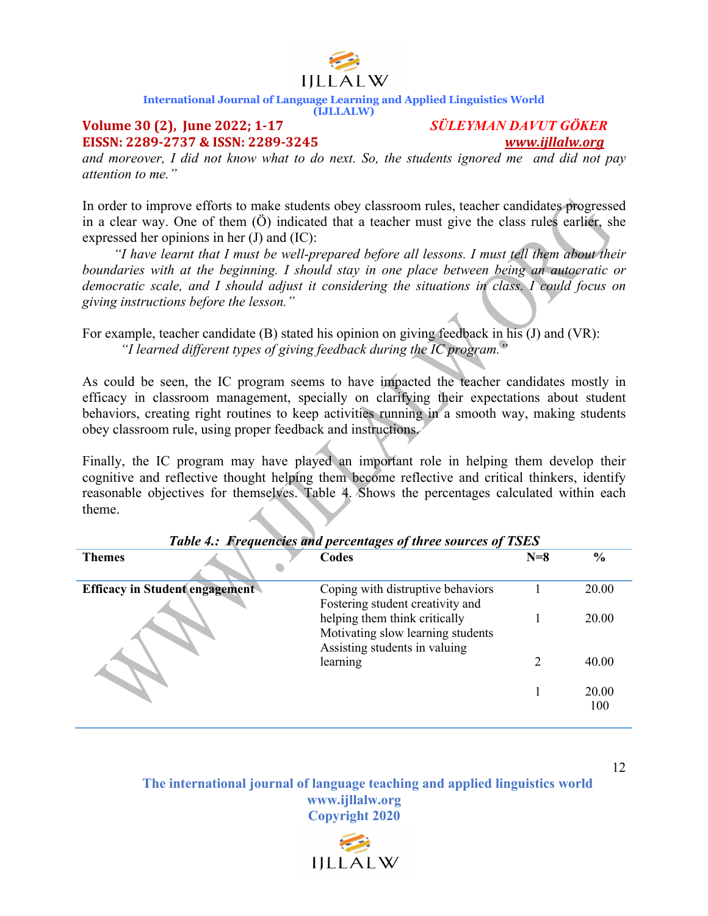

**(IJLLALW)**

### **Volume 30 (2), June 2022; 1-17** *SÜLEYMAN DAVUT GÖKER* **EISSN: 2289-2737 & ISSN: 2289-3245**  *www.ijllalw.org*

*and moreover, I did not know what to do next. So, the students ignored me and did not pay attention to me."*

In order to improve efforts to make students obey classroom rules, teacher candidates progressed in a clear way. One of them (Ö) indicated that a teacher must give the class rules earlier, she expressed her opinions in her (J) and (IC):

 *"I have learnt that I must be well-prepared before all lessons. I must tell them about their boundaries with at the beginning. I should stay in one place between being an autocratic or democratic scale, and I should adjust it considering the situations in class. I could focus on giving instructions before the lesson."*

For example, teacher candidate (B) stated his opinion on giving feedback in his (J) and (VR):  *"I learned different types of giving feedback during the IC program."*

As could be seen, the IC program seems to have impacted the teacher candidates mostly in efficacy in classroom management, specially on clarifying their expectations about student behaviors, creating right routines to keep activities running in a smooth way, making students obey classroom rule, using proper feedback and instructions.

Finally, the IC program may have played an important role in helping them develop their cognitive and reflective thought helping them become reflective and critical thinkers, identify reasonable objectives for themselves. Table 4. Shows the percentages calculated within each theme.

| <b>Themes</b>                         | Codes                                                                                               | $N=8$ | $\frac{6}{6}$ |
|---------------------------------------|-----------------------------------------------------------------------------------------------------|-------|---------------|
| <b>Efficacy in Student engagement</b> | Coping with distruptive behaviors<br>Fostering student creativity and                               |       | 20.00         |
|                                       | helping them think critically<br>Motivating slow learning students<br>Assisting students in valuing |       | 20.00         |
|                                       | learning                                                                                            |       | 40.00         |
|                                       |                                                                                                     |       | 20.00<br>100  |

#### *Table 4.: Frequencies and percentages of three sources of TSES*

**The international journal of language teaching and applied linguistics world www.ijllalw.org Copyright 2020**

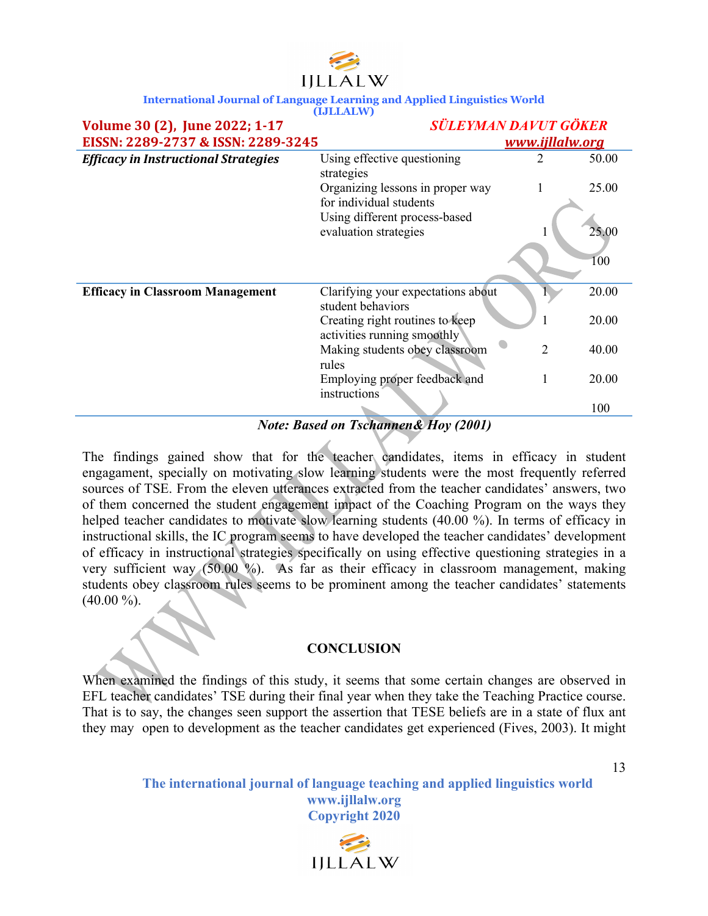| IILLALW |  |  |
|---------|--|--|

| Using effective questioning<br>strategies                      | 2                                                                                                                                                |                                    | 50.00                                               |
|----------------------------------------------------------------|--------------------------------------------------------------------------------------------------------------------------------------------------|------------------------------------|-----------------------------------------------------|
| Organizing lessons in proper way                               |                                                                                                                                                  |                                    | 25.00                                               |
| Using different process-based                                  |                                                                                                                                                  |                                    |                                                     |
|                                                                |                                                                                                                                                  |                                    | 25.00                                               |
|                                                                |                                                                                                                                                  |                                    | 100                                                 |
| student behaviors                                              |                                                                                                                                                  |                                    | 20.00                                               |
| Creating right routines to keep<br>activities running smoothly |                                                                                                                                                  |                                    | 20.00                                               |
| Making students obey classroom                                 |                                                                                                                                                  |                                    | 40.00                                               |
|                                                                |                                                                                                                                                  |                                    |                                                     |
|                                                                |                                                                                                                                                  |                                    | 20.00                                               |
|                                                                |                                                                                                                                                  |                                    | 100                                                 |
|                                                                | EISSN: 2289-2737 & ISSN: 2289-3245<br>for individual students<br>evaluation strategies<br>rules<br>Employing proper feedback and<br>instructions | Clarifying your expectations about | <b>SÜLEYMAN DAVUT GÖKER</b><br>www.ijllalw.org<br>2 |

*Note: Based on Tschannen& Hoy (2001)*

The findings gained show that for the teacher candidates, items in efficacy in student engagament, specially on motivating slow learning students were the most frequently referred sources of TSE. From the eleven utterances extracted from the teacher candidates' answers, two of them concerned the student engagement impact of the Coaching Program on the ways they helped teacher candidates to motivate slow learning students (40.00 %). In terms of efficacy in instructional skills, the IC program seems to have developed the teacher candidates' development of efficacy in instructional strategies specifically on using effective questioning strategies in a very sufficient way (50.00 %). As far as their efficacy in classroom management, making students obey classroom rules seems to be prominent among the teacher candidates' statements  $(40.00\%).$ 

#### **CONCLUSION**

When examined the findings of this study, it seems that some certain changes are observed in EFL teacher candidates' TSE during their final year when they take the Teaching Practice course. That is to say, the changes seen support the assertion that TESE beliefs are in a state of flux ant they may open to development as the teacher candidates get experienced (Fives, 2003). It might

> **The international journal of language teaching and applied linguistics world www.ijllalw.org Copyright 2020**

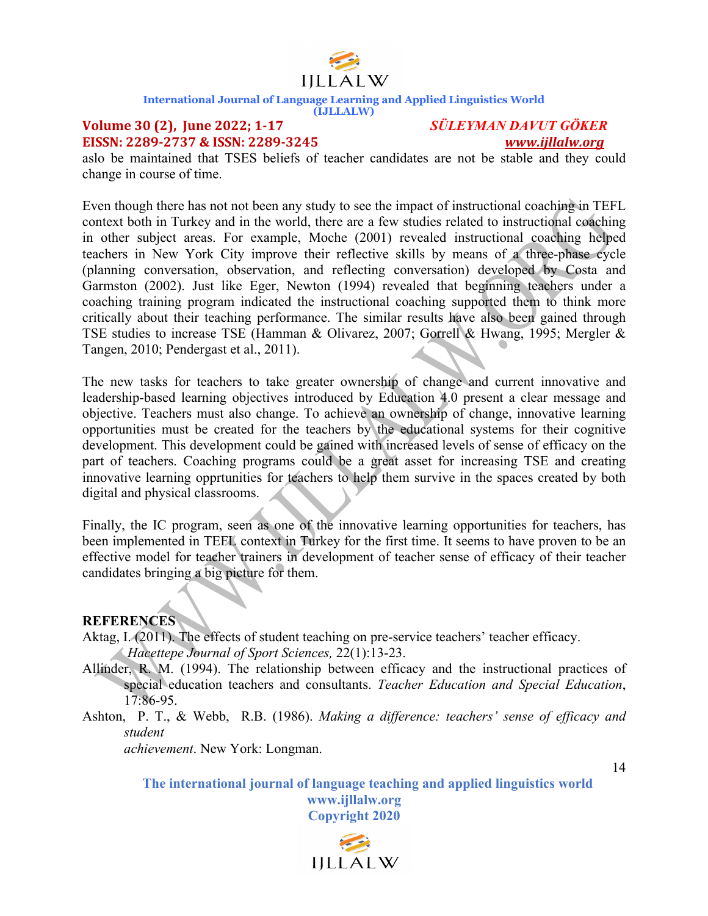

**(IJLLALW)**

#### **Volume 30 (2), June 2022; 1-17** *SÜLEYMAN DAVUT GÖKER* **EISSN: 2289-2737 & ISSN: 2289-3245**  *www.ijllalw.org*

aslo be maintained that TSES beliefs of teacher candidates are not be stable and they could change in course of time.

Even though there has not not been any study to see the impact of instructional coaching in TEFL context both in Turkey and in the world, there are a few studies related to instructional coaching in other subject areas. For example, Moche (2001) revealed instructional coaching helped teachers in New York City improve their reflective skills by means of a three-phase cycle (planning conversation, observation, and reflecting conversation) developed by Costa and Garmston (2002). Just like Eger, Newton (1994) revealed that beginning teachers under a coaching training program indicated the instructional coaching supported them to think more critically about their teaching performance. The similar results have also been gained through TSE studies to increase TSE (Hamman & Olivarez, 2007; Gorrell & Hwang, 1995; Mergler & Tangen, 2010; Pendergast et al., 2011).

The new tasks for teachers to take greater ownership of change and current innovative and leadership-based learning objectives introduced by Education 4.0 present a clear message and objective. Teachers must also change. To achieve an ownership of change, innovative learning opportunities must be created for the teachers by the educational systems for their cognitive development. This development could be gained with increased levels of sense of efficacy on the part of teachers. Coaching programs could be a great asset for increasing TSE and creating innovative learning opprtunities for teachers to help them survive in the spaces created by both digital and physical classrooms.

Finally, the IC program, seen as one of the innovative learning opportunities for teachers, has been implemented in TEFL context in Turkey for the first time. It seems to have proven to be an effective model for teacher trainers in development of teacher sense of efficacy of their teacher candidates bringing a big picture for them.

#### **REFERENCES**

Aktag, I. (2011). The effects of student teaching on pre-service teachers' teacher efficacy.

*Hacettepe Journal of Sport Sciences,* 22(1):13-23.

- Allinder, R. M. (1994). The relationship between efficacy and the instructional practices of special education teachers and consultants. *Teacher Education and Special Education*, 17:86-95.
- Ashton, P. T., & Webb, R.B. (1986). *Making a difference: teachers' sense of efficacy and student*

*achievement*. New York: Longman.

14

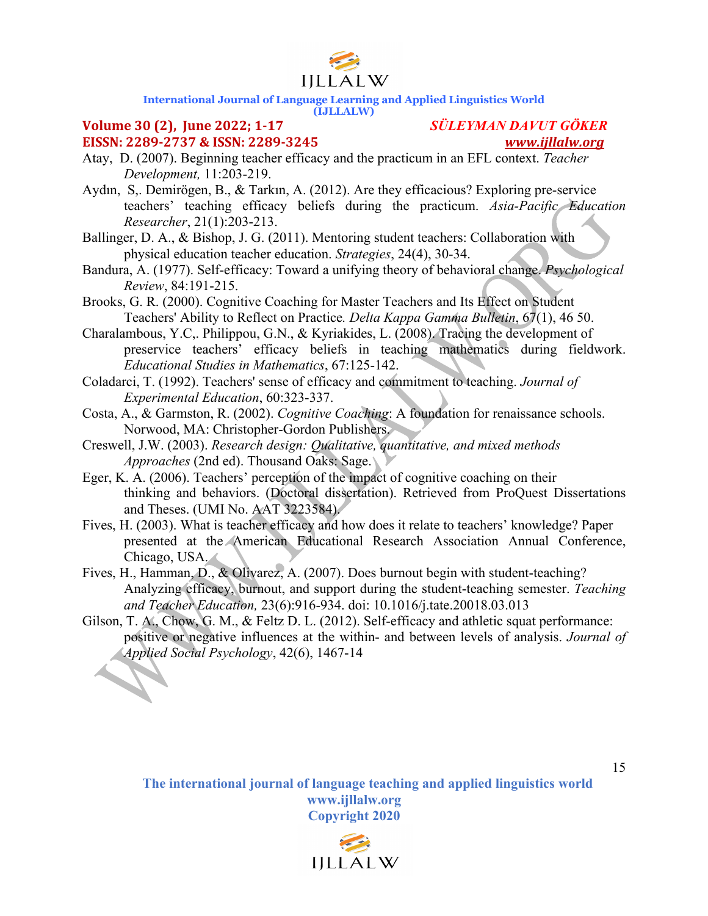

### **(IJLLALW)**

## **EISSN: 2289-2737 & ISSN: 2289-3245**  *www.ijllalw.org*

### **Volume 30 (2), June 2022; 1-17** *SÜLEYMAN DAVUT GÖKER*

- Atay, D. (2007). Beginning teacher efficacy and the practicum in an EFL context. *Teacher Development,* 11:203-219.
- Aydın, S,. Demirögen, B., & Tarkın, A. (2012). Are they efficacious? Exploring pre-service teachers' teaching efficacy beliefs during the practicum. *Asia-Pacific Education Researcher*, 21(1):203-213.
- Ballinger, D. A., & Bishop, J. G. (2011). Mentoring student teachers: Collaboration with physical education teacher education. *Strategies*, 24(4), 30-34.
- Bandura, A. (1977). Self-efficacy: Toward a unifying theory of behavioral change. *Psychological Review*, 84:191-215.
- Brooks, G. R. (2000). Cognitive Coaching for Master Teachers and Its Effect on Student Teachers' Ability to Reflect on Practice*. Delta Kappa Gamma Bulletin*, 67(1), 46 50.
- Charalambous, Y.C,. Philippou, G.N., & Kyriakides, L. (2008). Tracing the development of preservice teachers' efficacy beliefs in teaching mathematics during fieldwork. *Educational Studies in Mathematics*, 67:125-142.
- Coladarci, T. (1992). Teachers' sense of efficacy and commitment to teaching. *Journal of Experimental Education*, 60:323-337.
- Costa, A., & Garmston, R. (2002). *Cognitive Coaching*: A foundation for renaissance schools. Norwood, MA: Christopher-Gordon Publishers.
- Creswell, J.W. (2003). *Research design: Qualitative, quantitative, and mixed methods Approaches* (2nd ed). Thousand Oaks: Sage.
- Eger, K. A. (2006). Teachers' perception of the impact of cognitive coaching on their thinking and behaviors. (Doctoral dissertation). Retrieved from ProQuest Dissertations and Theses. (UMI No. AAT 3223584).
- Fives, H. (2003). What is teacher efficacy and how does it relate to teachers' knowledge? Paper presented at the American Educational Research Association Annual Conference, Chicago, USA.
- Fives, H., Hamman, D., & Olivarez, A. (2007). Does burnout begin with student-teaching? Analyzing efficacy, burnout, and support during the student-teaching semester. *Teaching and Teacher Education,* 23(6):916-934. doi: 10.1016/j.tate.20018.03.013
- Gilson, T. A., Chow, G. M., & Feltz D. L. (2012). Self-efficacy and athletic squat performance: positive or negative influences at the within- and between levels of analysis. *Journal of Applied Social Psychology*, 42(6), 1467-14

**The international journal of language teaching and applied linguistics world www.ijllalw.org Copyright 2020**

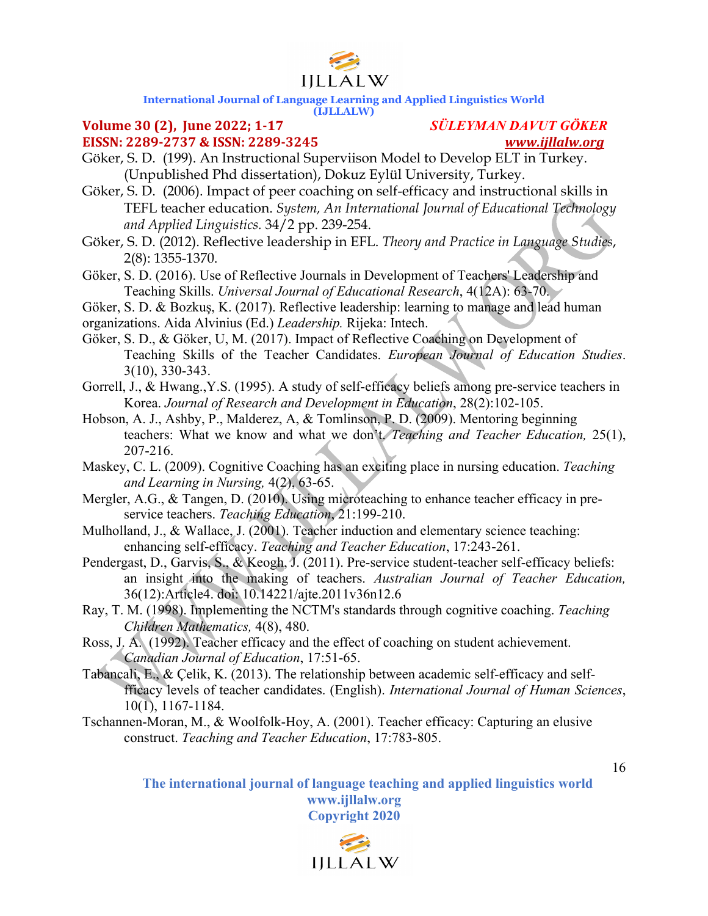

#### **(IJLLALW)**

### **Volume 30 (2), June 2022; 1-17** *SÜLEYMAN DAVUT GÖKER* **EISSN:** 2289-2737 & ISSN: 2289-3245

- Göker, S. D. (199). An Instructional Superviison Model to Develop ELT in Turkey. (Unpublished Phd dissertation), Dokuz Eylül University, Turkey.
- Göker, S. D. (2006). Impact of peer coaching on self-efficacy and instructional skills in TEFL teacher education. *System, An International Journal of Educational Technology and Applied Linguistics.* 34/2 pp. 239-254.
- Göker, S. D. (2012). Reflective leadership in EFL. *Theory and Practice in Language Studies*, 2(8): 1355-1370.
- Göker, S. D. (2016). Use of Reflective Journals in Development of Teachers' Leadership and Teaching Skills. *Universal Journal of Educational Research*, 4(12A): 63-70.
- Göker, S. D. & Bozkuş, K. (2017). Reflective leadership: learning to manage and lead human

organizations. Aida Alvinius (Ed.) *Leadership.* Rijeka: Intech.

- Göker, S. D., & Göker, U, M. (2017). Impact of Reflective Coaching on Development of Teaching Skills of the Teacher Candidates. *European Journal of Education Studies*. 3(10), 330-343.
- Gorrell, J., & Hwang.,Y.S. (1995). A study of self-efficacy beliefs among pre-service teachers in Korea. *Journal of Research and Development in Education*, 28(2):102-105.
- Hobson, A. J., Ashby, P., Malderez, A, & Tomlinson, P. D. (2009). Mentoring beginning teachers: What we know and what we don't. *Teaching and Teacher Education,* 25(1), 207-216.
- Maskey, C. L. (2009). Cognitive Coaching has an exciting place in nursing education. *Teaching and Learning in Nursing,* 4(2), 63-65.
- Mergler, A.G., & Tangen, D. (2010). Using microteaching to enhance teacher efficacy in preservice teachers. *Teaching Education*, 21:199-210.
- Mulholland, J., & Wallace, J. (2001). Teacher induction and elementary science teaching: enhancing self-efficacy. *Teaching and Teacher Education*, 17:243-261.
- Pendergast, D., Garvis, S., & Keogh, J. (2011). Pre-service student-teacher self-efficacy beliefs: an insight into the making of teachers. *Australian Journal of Teacher Education,* 36(12):Article4. doi: 10.14221/ajte.2011v36n12.6
- Ray, T. M. (1998). Implementing the NCTM's standards through cognitive coaching. *Teaching Children Mathematics,* 4(8), 480.
- Ross, J. A. (1992). Teacher efficacy and the effect of coaching on student achievement. *Canadian Journal of Education*, 17:51-65.
- Tabancali, E., & Çelik, K. (2013). The relationship between academic self-efficacy and selffficacy levels of teacher candidates. (English). *International Journal of Human Sciences*,  $10(1)$ , 1167-1184.
- Tschannen-Moran, M., & Woolfolk-Hoy, A. (2001). Teacher efficacy: Capturing an elusive construct. *Teaching and Teacher Education*, 17:783-805.

**The international journal of language teaching and applied linguistics world www.ijllalw.org Copyright 2020**